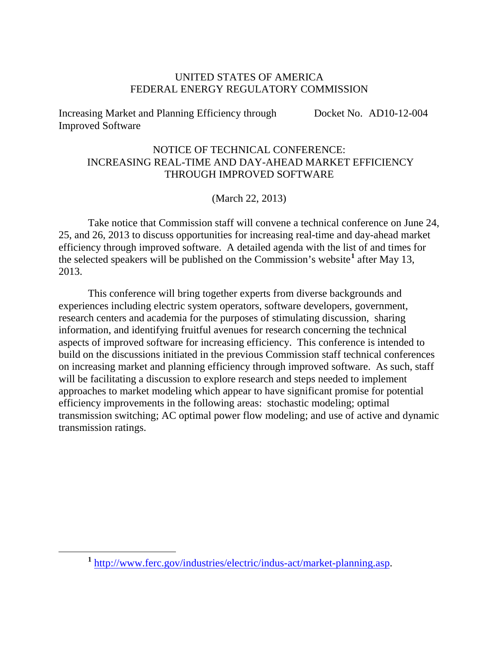## UNITED STATES OF AMERICA FEDERAL ENERGY REGULATORY COMMISSION

Increasing Market and Planning Efficiency through Improved Software Docket No. AD10-12-004

## NOTICE OF TECHNICAL CONFERENCE: INCREASING REAL-TIME AND DAY-AHEAD MARKET EFFICIENCY THROUGH IMPROVED SOFTWARE

## (March 22, 2013)

Take notice that Commission staff will convene a technical conference on June 24, 25, and 26, 2013 to discuss opportunities for increasing real-time and day-ahead market efficiency through improved software. A detailed agenda with the list of and times for the selected speakers will be published on the Commission's website**[1](#page-0-0)** after May 13, 2013.

This conference will bring together experts from diverse backgrounds and experiences including electric system operators, software developers, government, research centers and academia for the purposes of stimulating discussion, sharing information, and identifying fruitful avenues for research concerning the technical aspects of improved software for increasing efficiency. This conference is intended to build on the discussions initiated in the previous Commission staff technical conferences on increasing market and planning efficiency through improved software. As such, staff will be facilitating a discussion to explore research and steps needed to implement approaches to market modeling which appear to have significant promise for potential efficiency improvements in the following areas: stochastic modeling; optimal transmission switching; AC optimal power flow modeling; and use of active and dynamic transmission ratings.

<span id="page-0-0"></span>**<sup>1</sup>** [http://www.ferc.gov/industries/electric/indus-act/market-planning.asp.](http://www.ferc.gov/industries/electric/indus-act/market-planning.asp)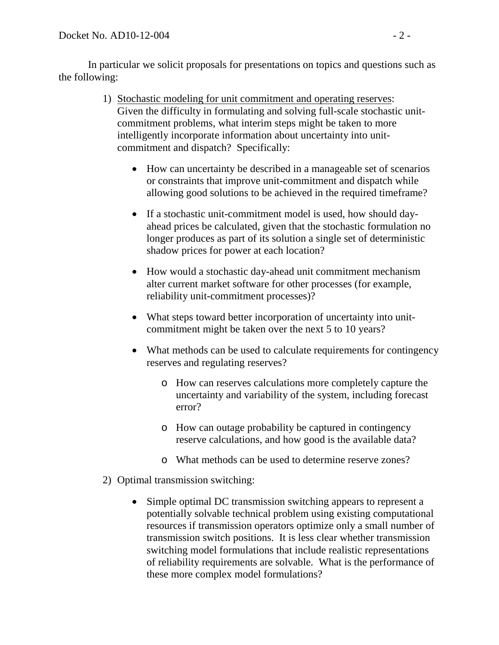In particular we solicit proposals for presentations on topics and questions such as the following:

- 1) Stochastic modeling for unit commitment and operating reserves: Given the difficulty in formulating and solving full-scale stochastic unitcommitment problems, what interim steps might be taken to more intelligently incorporate information about uncertainty into unitcommitment and dispatch? Specifically:
	- How can uncertainty be described in a manageable set of scenarios or constraints that improve unit-commitment and dispatch while allowing good solutions to be achieved in the required timeframe?
	- If a stochastic unit-commitment model is used, how should dayahead prices be calculated, given that the stochastic formulation no longer produces as part of its solution a single set of deterministic shadow prices for power at each location?
	- How would a stochastic day-ahead unit commitment mechanism alter current market software for other processes (for example, reliability unit-commitment processes)?
	- What steps toward better incorporation of uncertainty into unitcommitment might be taken over the next 5 to 10 years?
	- What methods can be used to calculate requirements for contingency reserves and regulating reserves?
		- o How can reserves calculations more completely capture the uncertainty and variability of the system, including forecast error?
		- o How can outage probability be captured in contingency reserve calculations, and how good is the available data?
		- o What methods can be used to determine reserve zones?
- 2) Optimal transmission switching:
	- Simple optimal DC transmission switching appears to represent a potentially solvable technical problem using existing computational resources if transmission operators optimize only a small number of transmission switch positions. It is less clear whether transmission switching model formulations that include realistic representations of reliability requirements are solvable. What is the performance of these more complex model formulations?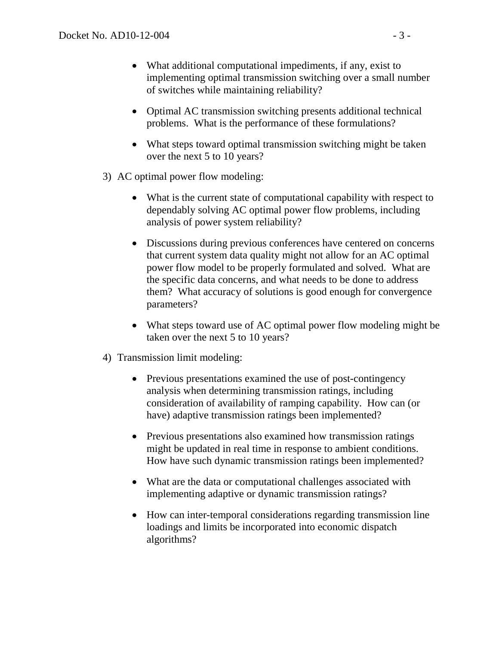- What additional computational impediments, if any, exist to implementing optimal transmission switching over a small number of switches while maintaining reliability?
- Optimal AC transmission switching presents additional technical problems. What is the performance of these formulations?
- What steps toward optimal transmission switching might be taken over the next 5 to 10 years?
- 3) AC optimal power flow modeling:
	- What is the current state of computational capability with respect to dependably solving AC optimal power flow problems, including analysis of power system reliability?
	- Discussions during previous conferences have centered on concerns that current system data quality might not allow for an AC optimal power flow model to be properly formulated and solved. What are the specific data concerns, and what needs to be done to address them? What accuracy of solutions is good enough for convergence parameters?
	- What steps toward use of AC optimal power flow modeling might be taken over the next 5 to 10 years?
- 4) Transmission limit modeling:
	- Previous presentations examined the use of post-contingency analysis when determining transmission ratings, including consideration of availability of ramping capability. How can (or have) adaptive transmission ratings been implemented?
	- Previous presentations also examined how transmission ratings might be updated in real time in response to ambient conditions. How have such dynamic transmission ratings been implemented?
	- What are the data or computational challenges associated with implementing adaptive or dynamic transmission ratings?
	- How can inter-temporal considerations regarding transmission line loadings and limits be incorporated into economic dispatch algorithms?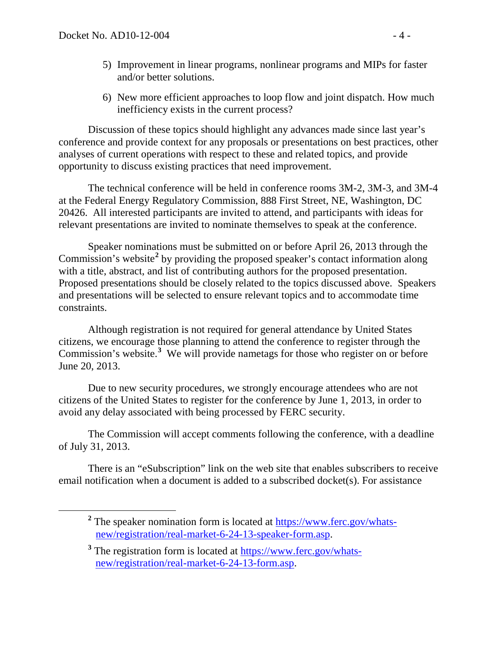- 5) Improvement in linear programs, nonlinear programs and MIPs for faster and/or better solutions.
- 6) New more efficient approaches to loop flow and joint dispatch. How much inefficiency exists in the current process?

Discussion of these topics should highlight any advances made since last year's conference and provide context for any proposals or presentations on best practices, other analyses of current operations with respect to these and related topics, and provide opportunity to discuss existing practices that need improvement.

The technical conference will be held in conference rooms 3M-2, 3M-3, and 3M-4 at the Federal Energy Regulatory Commission, 888 First Street, NE, Washington, DC 20426. All interested participants are invited to attend, and participants with ideas for relevant presentations are invited to nominate themselves to speak at the conference.

Speaker nominations must be submitted on or before April 26, 2013 through the Commission's website**[2](#page-3-0)** by providing the proposed speaker's contact information along with a title, abstract, and list of contributing authors for the proposed presentation. Proposed presentations should be closely related to the topics discussed above. Speakers and presentations will be selected to ensure relevant topics and to accommodate time constraints.

Although registration is not required for general attendance by United States citizens, we encourage those planning to attend the conference to register through the Commission's website.<sup>[3](#page-3-1)</sup> We will provide nametags for those who register on or before June 20, 2013.

Due to new security procedures, we strongly encourage attendees who are not citizens of the United States to register for the conference by June 1, 2013, in order to avoid any delay associated with being processed by FERC security.

The Commission will accept comments following the conference, with a deadline of July 31, 2013.

<span id="page-3-0"></span>There is an "eSubscription" link on the web site that enables subscribers to receive email notification when a document is added to a subscribed docket(s). For assistance

<sup>&</sup>lt;sup>2</sup> The speaker nomination form is located at [https://www.ferc.gov/whats](https://www.ferc.gov/whats-new/registration/real-market-6-24-13-speaker-form.asp)[new/registration/real-market-6-24-13-speaker-form.asp.](https://www.ferc.gov/whats-new/registration/real-market-6-24-13-speaker-form.asp)

<span id="page-3-1"></span><sup>&</sup>lt;sup>3</sup> The registration form is located at [https://www.ferc.gov/whats](https://www.ferc.gov/whats-new/registration/real-market-6-24-13-form.asp)[new/registration/real-market-6-24-13-form.asp.](https://www.ferc.gov/whats-new/registration/real-market-6-24-13-form.asp)